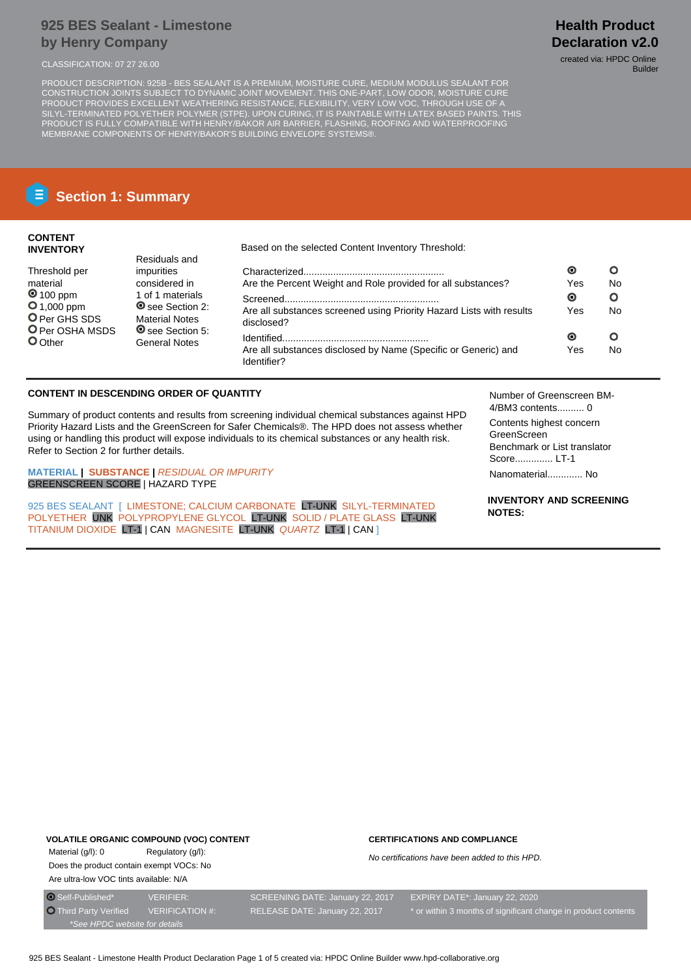## **925 BES Sealant - Limestone by Henry Company**

PRODUCT DESCRIPTION: 925B - BES SEALANT IS A PREMIUM, MOISTURE CURE, MEDIUM MODULUS SEALANT FOR CONSTRUCTION JOINTS SUBJECT TO DYNAMIC JOINT MOVEMENT. THIS ONE-PART, LOW ODOR, MOISTURE CURE PRODUCT PROVIDES EXCELLENT WEATHERING RESISTANCE, FLEXIBILITY, VERY LOW VOC, THROUGH USE OF A SILYL-TERMINATED POLYETHER POLYMER (STPE). UPON CURING, IT IS PAINTABLE WITH LATEX BASED PAINTS. THIS PRODUCT IS FULLY COMPATIBLE WITH HENRY/BAKOR AIR BARRIER, FLASHING, ROOFING AND WATERPROOFING MEMBRANE COMPONENTS OF HENRY/BAKOR'S BUILDING ENVELOPE SYSTEMS®.

# **Section 1: Summary**

## **CONTENT INVENTORY**

Threshold per material **0** 100 ppm **O** 1,000 ppm O Per GHS SDS **O** Per OSHA MSDS

**O**Other

Based on the selected Content Inventory Threshold:

| Residuals and                                   |                                                                                    |     |    |
|-------------------------------------------------|------------------------------------------------------------------------------------|-----|----|
| impurities                                      |                                                                                    | O   | Ω  |
| considered in                                   | Are the Percent Weight and Role provided for all substances?                       | Yes | No |
| 1 of 1 materials                                |                                                                                    | Θ   | Ο  |
| See Section 2:<br><b>Material Notes</b>         | Are all substances screened using Priority Hazard Lists with results<br>disclosed? | Yes | No |
| <b>◎</b> see Section 5:<br><b>General Notes</b> |                                                                                    | О   | Ο  |
|                                                 | Are all substances disclosed by Name (Specific or Generic) and<br>Identifier?      | Yes | No |

## **CONTENT IN DESCENDING ORDER OF QUANTITY**

Summary of product contents and results from screening individual chemical substances against HPD Priority Hazard Lists and the GreenScreen for Safer Chemicals®. The HPD does not assess whether using or handling this product will expose individuals to its chemical substances or any health risk. Refer to Section 2 for further details.

**MATERIAL | SUBSTANCE |** RESIDUAL OR IMPURITY GREENSCREEN SCORE | HAZARD TYPE

925 BES SEALANT [ LIMESTONE: CALCIUM CARBONATE LT-UNK SILYL-TERMINATED POLYETHER UNK POLYPROPYLENE GLYCOL LT-UNK SOLID / PLATE GLASS LT-UNK TITANIUM DIOXIDE LT-1 | CAN MAGNESITE LT-UNK QUARTZ LT-1 | CAN ]

Number of Greenscreen BM-4/BM3 contents.......... 0

Contents highest concern GreenScreen Benchmark or List translator Score.............. LT-1

Nanomaterial............. No

**INVENTORY AND SCREENING NOTES:**

## **VOLATILE ORGANIC COMPOUND (VOC) CONTENT**

Material (g/l): 0 Regulatory (g/l): Does the product contain exempt VOCs: No Are ultra-low VOC tints available: N/A

#### **CERTIFICATIONS AND COMPLIANCE**

No certifications have been added to this HPD.

**Health Product Declaration v2.0** CLASSIFICATION: 07 27 26.00 created via: HPDC Online

Builder

\*See HPDC website for details

O Self-Published\* VERIFIER: SCREENING DATE: January 22, 2017 EXPIRY DATE\*: January 22, 2020

Third Party Verified VERIFICATION #: RELEASE DATE: January 22, 2017 \* or within 3 months of significant change in product contents

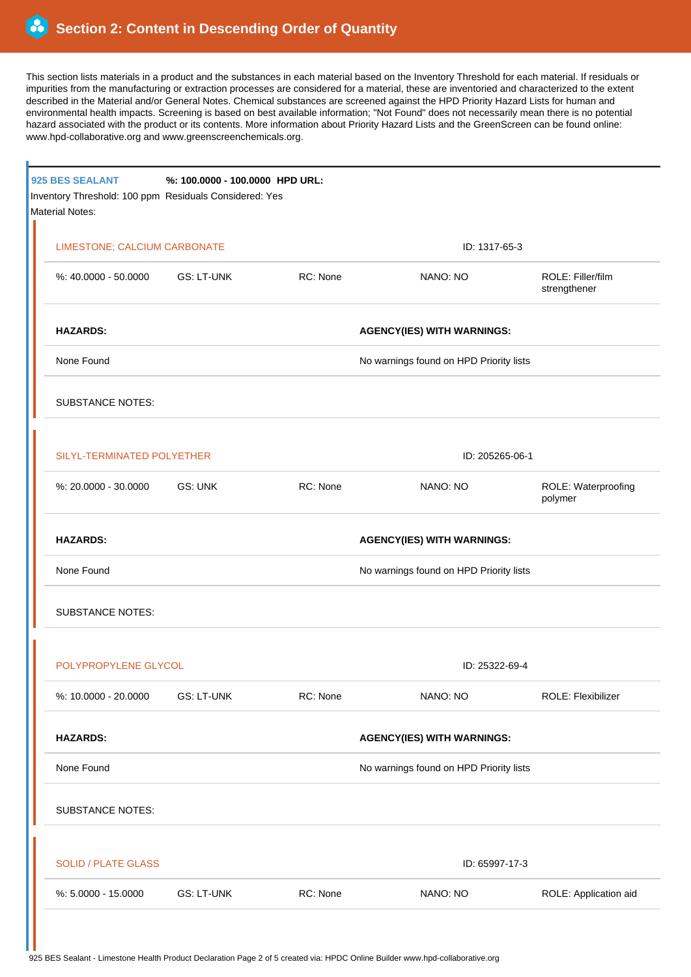This section lists materials in a product and the substances in each material based on the Inventory Threshold for each material. If residuals or impurities from the manufacturing or extraction processes are considered for a material, these are inventoried and characterized to the extent described in the Material and/or General Notes. Chemical substances are screened against the HPD Priority Hazard Lists for human and environmental health impacts. Screening is based on best available information; "Not Found" does not necessarily mean there is no potential hazard associated with the product or its contents. More information about Priority Hazard Lists and the GreenScreen can be found online: www.hpd-collaborative.org and www.greenscreenchemicals.org.

|  | 925 BES SEALANT<br>Inventory Threshold: 100 ppm Residuals Considered: Yes<br>Material Notes: | %: 100.0000 - 100.0000 HPD URL: |                                   |                                         |                                   |  |  |
|--|----------------------------------------------------------------------------------------------|---------------------------------|-----------------------------------|-----------------------------------------|-----------------------------------|--|--|
|  | LIMESTONE; CALCIUM CARBONATE                                                                 |                                 |                                   | ID: 1317-65-3                           |                                   |  |  |
|  | %: 40.0000 - 50.0000                                                                         | GS: LT-UNK                      | RC: None                          | NANO: NO                                | ROLE: Filler/film<br>strengthener |  |  |
|  | <b>HAZARDS:</b>                                                                              |                                 | <b>AGENCY(IES) WITH WARNINGS:</b> |                                         |                                   |  |  |
|  | None Found                                                                                   |                                 |                                   | No warnings found on HPD Priority lists |                                   |  |  |
|  | <b>SUBSTANCE NOTES:</b>                                                                      |                                 |                                   |                                         |                                   |  |  |
|  | SILYL-TERMINATED POLYETHER                                                                   |                                 |                                   | ID: 205265-06-1                         |                                   |  |  |
|  | %: 20.0000 - 30.0000                                                                         | GS: UNK                         | RC: None                          | NANO: NO                                | ROLE: Waterproofing<br>polymer    |  |  |
|  | <b>HAZARDS:</b><br>None Found                                                                |                                 |                                   | <b>AGENCY(IES) WITH WARNINGS:</b>       |                                   |  |  |
|  |                                                                                              |                                 |                                   | No warnings found on HPD Priority lists |                                   |  |  |
|  | <b>SUBSTANCE NOTES:</b>                                                                      |                                 |                                   |                                         |                                   |  |  |
|  | POLYPROPYLENE GLYCOL                                                                         |                                 |                                   | ID: 25322-69-4                          |                                   |  |  |
|  | %: 10.0000 - 20.0000                                                                         | <b>GS: LT-UNK</b>               | RC: None                          | NANO: NO                                | ROLE: Flexibilizer                |  |  |
|  | <b>HAZARDS:</b>                                                                              |                                 |                                   | <b>AGENCY(IES) WITH WARNINGS:</b>       |                                   |  |  |
|  | None Found                                                                                   |                                 |                                   | No warnings found on HPD Priority lists |                                   |  |  |
|  | <b>SUBSTANCE NOTES:</b>                                                                      |                                 |                                   |                                         |                                   |  |  |
|  | <b>SOLID / PLATE GLASS</b>                                                                   |                                 |                                   | ID: 65997-17-3                          |                                   |  |  |
|  | %: 5.0000 - 15.0000                                                                          | <b>GS: LT-UNK</b>               | RC: None                          | NANO: NO                                | ROLE: Application aid             |  |  |
|  |                                                                                              |                                 |                                   |                                         |                                   |  |  |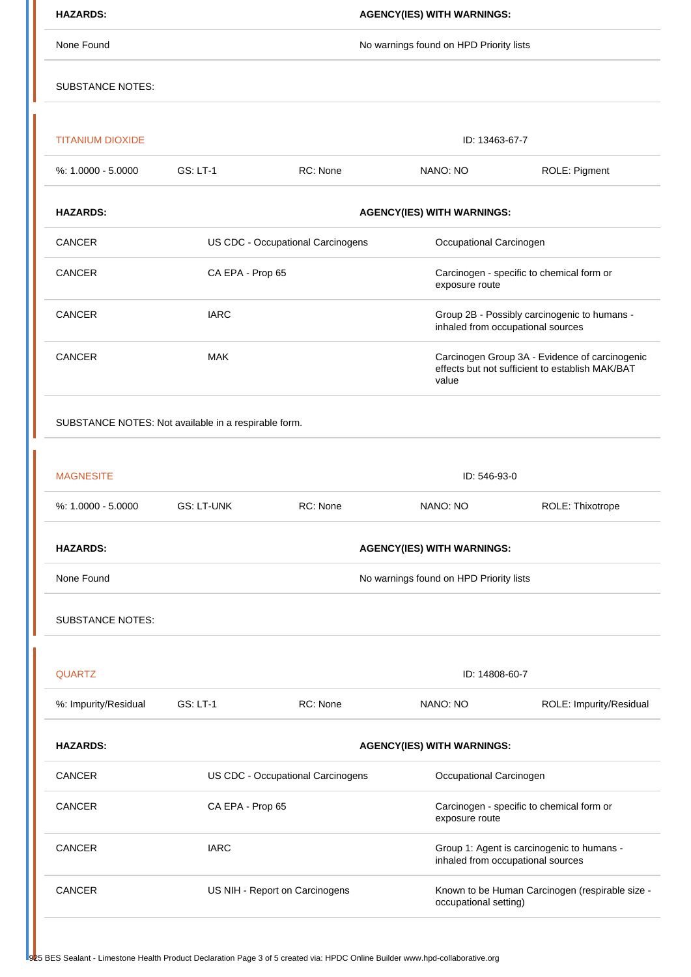| <b>HAZARDS:</b>                                      | <b>AGENCY(IES) WITH WARNINGS:</b>       |                                                              |                                                                                                            |                         |  |  |  |
|------------------------------------------------------|-----------------------------------------|--------------------------------------------------------------|------------------------------------------------------------------------------------------------------------|-------------------------|--|--|--|
| None Found                                           | No warnings found on HPD Priority lists |                                                              |                                                                                                            |                         |  |  |  |
| <b>SUBSTANCE NOTES:</b>                              |                                         |                                                              |                                                                                                            |                         |  |  |  |
| <b>TITANIUM DIOXIDE</b>                              |                                         |                                                              | ID: 13463-67-7                                                                                             |                         |  |  |  |
| $%: 1.0000 - 5.0000$                                 | <b>GS: LT-1</b>                         | RC: None                                                     | NANO: NO                                                                                                   | ROLE: Pigment           |  |  |  |
| <b>HAZARDS:</b>                                      | <b>AGENCY(IES) WITH WARNINGS:</b>       |                                                              |                                                                                                            |                         |  |  |  |
| CANCER                                               |                                         | US CDC - Occupational Carcinogens<br>Occupational Carcinogen |                                                                                                            |                         |  |  |  |
| <b>CANCER</b>                                        | CA EPA - Prop 65                        |                                                              | Carcinogen - specific to chemical form or<br>exposure route                                                |                         |  |  |  |
| CANCER                                               | <b>IARC</b>                             |                                                              | Group 2B - Possibly carcinogenic to humans -<br>inhaled from occupational sources                          |                         |  |  |  |
| CANCER                                               | <b>MAK</b>                              |                                                              | Carcinogen Group 3A - Evidence of carcinogenic<br>effects but not sufficient to establish MAK/BAT<br>value |                         |  |  |  |
| SUBSTANCE NOTES: Not available in a respirable form. |                                         |                                                              |                                                                                                            |                         |  |  |  |
|                                                      |                                         |                                                              |                                                                                                            |                         |  |  |  |
| <b>MAGNESITE</b>                                     | ID: 546-93-0                            |                                                              |                                                                                                            |                         |  |  |  |
| %: 1.0000 - 5.0000                                   | <b>GS: LT-UNK</b>                       | RC: None                                                     | NANO: NO                                                                                                   | ROLE: Thixotrope        |  |  |  |
| <b>HAZARDS:</b>                                      | <b>AGENCY(IES) WITH WARNINGS:</b>       |                                                              |                                                                                                            |                         |  |  |  |
| None Found                                           | No warnings found on HPD Priority lists |                                                              |                                                                                                            |                         |  |  |  |
| <b>SUBSTANCE NOTES:</b>                              |                                         |                                                              |                                                                                                            |                         |  |  |  |
| <b>QUARTZ</b>                                        | ID: 14808-60-7                          |                                                              |                                                                                                            |                         |  |  |  |
| %: Impurity/Residual                                 | <b>GS: LT-1</b>                         | RC: None                                                     | NANO: NO                                                                                                   | ROLE: Impurity/Residual |  |  |  |
| <b>HAZARDS:</b>                                      | <b>AGENCY(IES) WITH WARNINGS:</b>       |                                                              |                                                                                                            |                         |  |  |  |
| CANCER                                               | US CDC - Occupational Carcinogens       |                                                              | Occupational Carcinogen                                                                                    |                         |  |  |  |
| CANCER                                               | CA EPA - Prop 65                        |                                                              | Carcinogen - specific to chemical form or<br>exposure route                                                |                         |  |  |  |
| CANCER                                               | <b>IARC</b>                             |                                                              | Group 1: Agent is carcinogenic to humans -<br>inhaled from occupational sources                            |                         |  |  |  |
| <b>CANCER</b>                                        | US NIH - Report on Carcinogens          |                                                              | Known to be Human Carcinogen (respirable size -<br>occupational setting)                                   |                         |  |  |  |
|                                                      |                                         |                                                              |                                                                                                            |                         |  |  |  |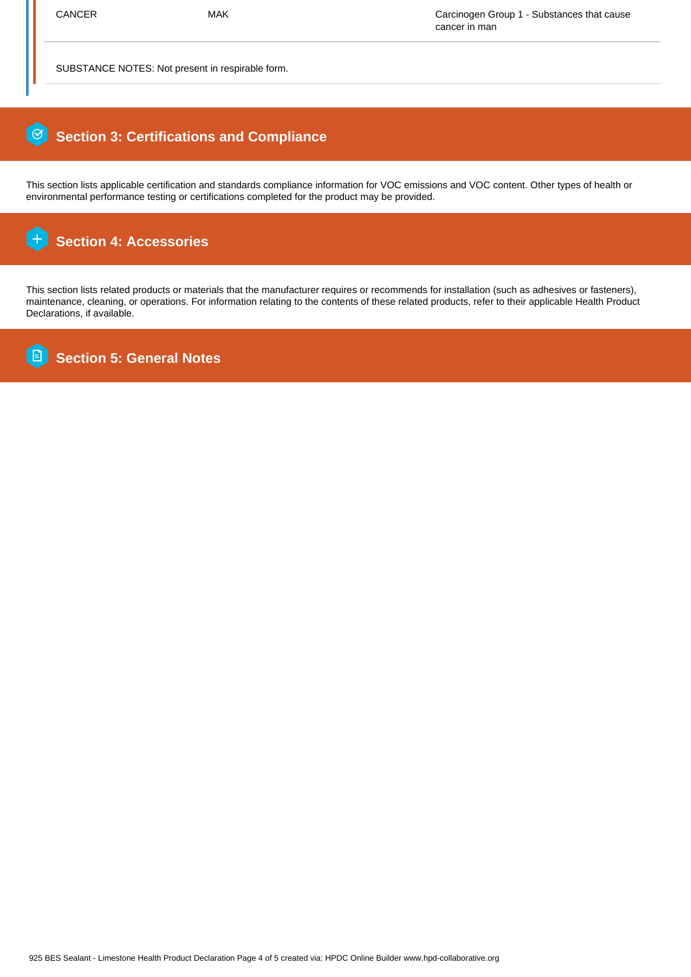SUBSTANCE NOTES: Not present in respirable form.

## 0  **Section 3: Certifications and Compliance**

This section lists applicable certification and standards compliance information for VOC emissions and VOC content. Other types of health or environmental performance testing or certifications completed for the product may be provided.

#### $\overline{+}$  **Section 4: Accessories**

This section lists related products or materials that the manufacturer requires or recommends for installation (such as adhesives or fasteners), maintenance, cleaning, or operations. For information relating to the contents of these related products, refer to their applicable Health Product Declarations, if available.

**B Section 5: General Notes**